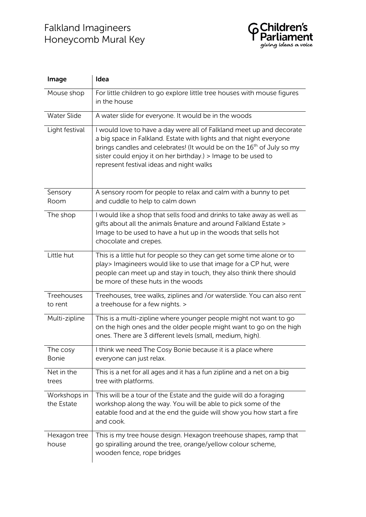

| Image                        | Idea                                                                                                                                                                                                                                                                                                                                          |
|------------------------------|-----------------------------------------------------------------------------------------------------------------------------------------------------------------------------------------------------------------------------------------------------------------------------------------------------------------------------------------------|
| Mouse shop                   | For little children to go explore little tree houses with mouse figures<br>in the house                                                                                                                                                                                                                                                       |
| <b>Water Slide</b>           | A water slide for everyone. It would be in the woods                                                                                                                                                                                                                                                                                          |
| Light festival               | I would love to have a day were all of Falkland meet up and decorate<br>a big space in Falkland. Estate with lights and that night everyone<br>brings candles and celebrates! (It would be on the 16 <sup>th</sup> of July so my<br>sister could enjoy it on her birthday.) > Image to be used to<br>represent festival ideas and night walks |
| Sensory<br>Room              | A sensory room for people to relax and calm with a bunny to pet<br>and cuddle to help to calm down                                                                                                                                                                                                                                            |
| The shop                     | I would like a shop that sells food and drinks to take away as well as<br>gifts about all the animals & bature and around Falkland Estate ><br>Image to be used to have a hut up in the woods that sells hot<br>chocolate and crepes.                                                                                                         |
| Little hut                   | This is a little hut for people so they can get some time alone or to<br>play> Imagineers would like to use that image for a CP hut, were<br>people can meet up and stay in touch, they also think there should<br>be more of these huts in the woods                                                                                         |
| <b>Treehouses</b><br>to rent | Treehouses, tree walks, ziplines and /or waterslide. You can also rent<br>a treehouse for a few nights. >                                                                                                                                                                                                                                     |
| Multi-zipline                | This is a multi-zipline where younger people might not want to go<br>on the high ones and the older people might want to go on the high<br>ones. There are 3 different levels (small, medium, high).                                                                                                                                          |
| The cosy<br><b>Bonie</b>     | I think we need The Cosy Bonie because it is a place where<br>everyone can just relax.                                                                                                                                                                                                                                                        |
| Net in the<br>trees          | This is a net for all ages and it has a fun zipline and a net on a big<br>tree with platforms.                                                                                                                                                                                                                                                |
| Workshops in<br>the Estate   | This will be a tour of the Estate and the guide will do a foraging<br>workshop along the way. You will be able to pick some of the<br>eatable food and at the end the guide will show you how start a fire<br>and cook.                                                                                                                       |
| Hexagon tree<br>house        | This is my tree house design. Hexagon treehouse shapes, ramp that<br>go spiralling around the tree, orange/yellow colour scheme,<br>wooden fence, rope bridges                                                                                                                                                                                |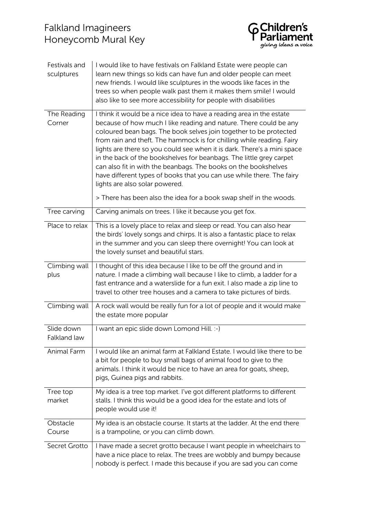

| Festivals and<br>sculptures | I would like to have festivals on Falkland Estate were people can<br>learn new things so kids can have fun and older people can meet<br>new friends. I would like sculptures in the woods like faces in the<br>trees so when people walk past them it makes them smile! I would<br>also like to see more accessibility for people with disabilities                                                                                                                                                                                                                                                                     |
|-----------------------------|-------------------------------------------------------------------------------------------------------------------------------------------------------------------------------------------------------------------------------------------------------------------------------------------------------------------------------------------------------------------------------------------------------------------------------------------------------------------------------------------------------------------------------------------------------------------------------------------------------------------------|
| The Reading<br>Corner       | I think it would be a nice idea to have a reading area in the estate<br>because of how much I like reading and nature. There could be any<br>coloured bean bags. The book selves join together to be protected<br>from rain and theft. The hammock is for chilling while reading. Fairy<br>lights are there so you could see when it is dark. There's a mini space<br>in the back of the bookshelves for beanbags. The little grey carpet<br>can also fit in with the beanbags. The books on the bookshelves<br>have different types of books that you can use while there. The fairy<br>lights are also solar powered. |
|                             | > There has been also the idea for a book swap shelf in the woods.                                                                                                                                                                                                                                                                                                                                                                                                                                                                                                                                                      |
| Tree carving                | Carving animals on trees. I like it because you get fox.                                                                                                                                                                                                                                                                                                                                                                                                                                                                                                                                                                |
| Place to relax              | This is a lovely place to relax and sleep or read. You can also hear<br>the birds' lovely songs and chirps. It is also a fantastic place to relax<br>in the summer and you can sleep there overnight! You can look at<br>the lovely sunset and beautiful stars.                                                                                                                                                                                                                                                                                                                                                         |
| Climbing wall<br>plus       | I thought of this idea because I like to be off the ground and in<br>nature. I made a climbing wall because I like to climb, a ladder for a<br>fast entrance and a waterslide for a fun exit. I also made a zip line to<br>travel to other tree houses and a camera to take pictures of birds.                                                                                                                                                                                                                                                                                                                          |
| Climbing wall               | A rock wall would be really fun for a lot of people and it would make<br>the estate more popular                                                                                                                                                                                                                                                                                                                                                                                                                                                                                                                        |
| Slide down<br>Falkland law  | I want an epic slide down Lomond Hill. :-)                                                                                                                                                                                                                                                                                                                                                                                                                                                                                                                                                                              |
| Animal Farm                 | I would like an animal farm at Falkland Estate. I would like there to be<br>a bit for people to buy small bags of animal food to give to the<br>animals. I think it would be nice to have an area for goats, sheep,<br>pigs, Guinea pigs and rabbits.                                                                                                                                                                                                                                                                                                                                                                   |
| Tree top<br>market          | My idea is a tree top market. I've got different platforms to different<br>stalls. I think this would be a good idea for the estate and lots of<br>people would use it!                                                                                                                                                                                                                                                                                                                                                                                                                                                 |
| Obstacle<br>Course          | My idea is an obstacle course. It starts at the ladder. At the end there<br>is a trampoline, or you can climb down.                                                                                                                                                                                                                                                                                                                                                                                                                                                                                                     |
| Secret Grotto               | I have made a secret grotto because I want people in wheelchairs to<br>have a nice place to relax. The trees are wobbly and bumpy because<br>nobody is perfect. I made this because if you are sad you can come                                                                                                                                                                                                                                                                                                                                                                                                         |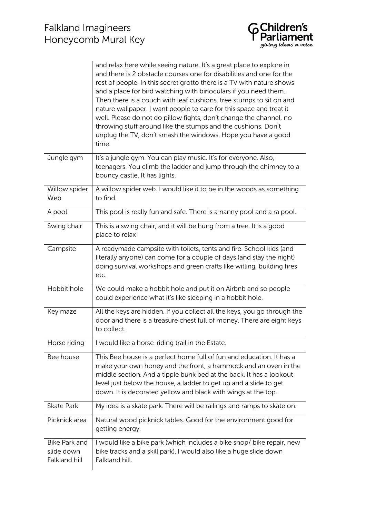|                                                     | and relax here while seeing nature. It's a great place to explore in<br>and there is 2 obstacle courses one for disabilities and one for the<br>rest of people. In this secret grotto there is a TV with nature shows<br>and a place for bird watching with binoculars if you need them.<br>Then there is a couch with leaf cushions, tree stumps to sit on and<br>nature wallpaper. I want people to care for this space and treat it<br>well. Please do not do pillow fights, don't change the channel, no<br>throwing stuff around like the stumps and the cushions. Don't<br>unplug the TV, don't smash the windows. Hope you have a good<br>time. |
|-----------------------------------------------------|--------------------------------------------------------------------------------------------------------------------------------------------------------------------------------------------------------------------------------------------------------------------------------------------------------------------------------------------------------------------------------------------------------------------------------------------------------------------------------------------------------------------------------------------------------------------------------------------------------------------------------------------------------|
| Jungle gym                                          | It's a jungle gym. You can play music. It's for everyone. Also,<br>teenagers. You climb the ladder and jump through the chimney to a<br>bouncy castle. It has lights.                                                                                                                                                                                                                                                                                                                                                                                                                                                                                  |
| Willow spider<br>Web                                | A willow spider web. I would like it to be in the woods as something<br>to find.                                                                                                                                                                                                                                                                                                                                                                                                                                                                                                                                                                       |
| A pool                                              | This pool is really fun and safe. There is a nanny pool and a ra pool.                                                                                                                                                                                                                                                                                                                                                                                                                                                                                                                                                                                 |
| Swing chair                                         | This is a swing chair, and it will be hung from a tree. It is a good<br>place to relax                                                                                                                                                                                                                                                                                                                                                                                                                                                                                                                                                                 |
| Campsite                                            | A readymade campsite with toilets, tents and fire. School kids (and<br>literally anyone) can come for a couple of days (and stay the night)<br>doing survival workshops and green crafts like witling, building fires<br>etc.                                                                                                                                                                                                                                                                                                                                                                                                                          |
| Hobbit hole                                         | We could make a hobbit hole and put it on Airbnb and so people<br>could experience what it's like sleeping in a hobbit hole.                                                                                                                                                                                                                                                                                                                                                                                                                                                                                                                           |
| Key maze                                            | All the keys are hidden. If you collect all the keys, you go through the<br>door and there is a treasure chest full of money. There are eight keys<br>to collect.                                                                                                                                                                                                                                                                                                                                                                                                                                                                                      |
| Horse riding                                        | I would like a horse-riding trail in the Estate.                                                                                                                                                                                                                                                                                                                                                                                                                                                                                                                                                                                                       |
| Bee house                                           | This Bee house is a perfect home full of fun and education. It has a<br>make your own honey and the front, a hammock and an oven in the<br>middle section. And a tipple bunk bed at the back. It has a lookout<br>level just below the house, a ladder to get up and a slide to get<br>down. It is decorated yellow and black with wings at the top.                                                                                                                                                                                                                                                                                                   |
| <b>Skate Park</b>                                   | My idea is a skate park. There will be railings and ramps to skate on.                                                                                                                                                                                                                                                                                                                                                                                                                                                                                                                                                                                 |
| Picknick area                                       | Natural wood picknick tables. Good for the environment good for<br>getting energy.                                                                                                                                                                                                                                                                                                                                                                                                                                                                                                                                                                     |
| <b>Bike Park and</b><br>slide down<br>Falkland hill | I would like a bike park (which includes a bike shop/ bike repair, new<br>bike tracks and a skill park). I would also like a huge slide down<br>Falkland hill.                                                                                                                                                                                                                                                                                                                                                                                                                                                                                         |

**G Children's**<br>P Parliament<br><sup>giving ideas a voice</sup>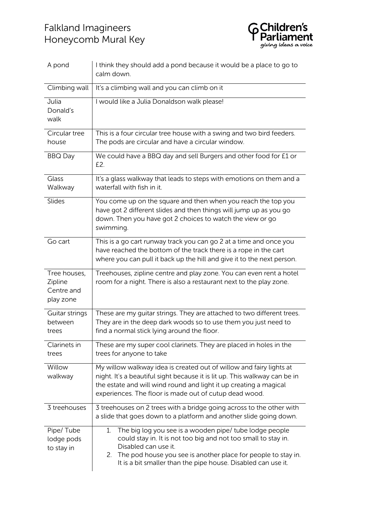

| A pond                                             | I think they should add a pond because it would be a place to go to<br>calm down.                                                                                                                                                                                                            |
|----------------------------------------------------|----------------------------------------------------------------------------------------------------------------------------------------------------------------------------------------------------------------------------------------------------------------------------------------------|
| Climbing wall                                      | It's a climbing wall and you can climb on it                                                                                                                                                                                                                                                 |
| Julia<br>Donald's<br>walk                          | I would like a Julia Donaldson walk please!                                                                                                                                                                                                                                                  |
| Circular tree<br>house                             | This is a four circular tree house with a swing and two bird feeders.<br>The pods are circular and have a circular window.                                                                                                                                                                   |
| <b>BBQ Day</b>                                     | We could have a BBQ day and sell Burgers and other food for £1 or<br>£2.                                                                                                                                                                                                                     |
| Glass<br>Walkway                                   | It's a glass walkway that leads to steps with emotions on them and a<br>waterfall with fish in it.                                                                                                                                                                                           |
| Slides                                             | You come up on the square and then when you reach the top you<br>have got 2 different slides and then things will jump up as you go<br>down. Then you have got 2 choices to watch the view or go<br>swimming.                                                                                |
| Go cart                                            | This is a go cart runway track you can go 2 at a time and once you<br>have reached the bottom of the track there is a rope in the cart<br>where you can pull it back up the hill and give it to the next person.                                                                             |
| Tree houses,<br>Zipline<br>Centre and<br>play zone | Treehouses, zipline centre and play zone. You can even rent a hotel<br>room for a night. There is also a restaurant next to the play zone.                                                                                                                                                   |
| Guitar strings<br>between<br>trees                 | These are my guitar strings. They are attached to two different trees.<br>They are in the deep dark woods so to use them you just need to<br>find a normal stick lying around the floor.                                                                                                     |
| Clarinets in<br>trees                              | These are my super cool clarinets. They are placed in holes in the<br>trees for anyone to take                                                                                                                                                                                               |
| Willow<br>walkway                                  | My willow walkway idea is created out of willow and fairy lights at<br>night. It's a beautiful sight because it is lit up. This walkway can be in<br>the estate and will wind round and light it up creating a magical<br>experiences. The floor is made out of cutup dead wood.             |
| 3 treehouses                                       | 3 treehouses on 2 trees with a bridge going across to the other with<br>a slide that goes down to a platform and another slide going down.                                                                                                                                                   |
| Pipe/Tube<br>lodge pods<br>to stay in              | The big log you see is a wooden pipe/ tube lodge people<br>1.<br>could stay in. It is not too big and not too small to stay in.<br>Disabled can use it.<br>2. The pod house you see is another place for people to stay in.<br>It is a bit smaller than the pipe house. Disabled can use it. |